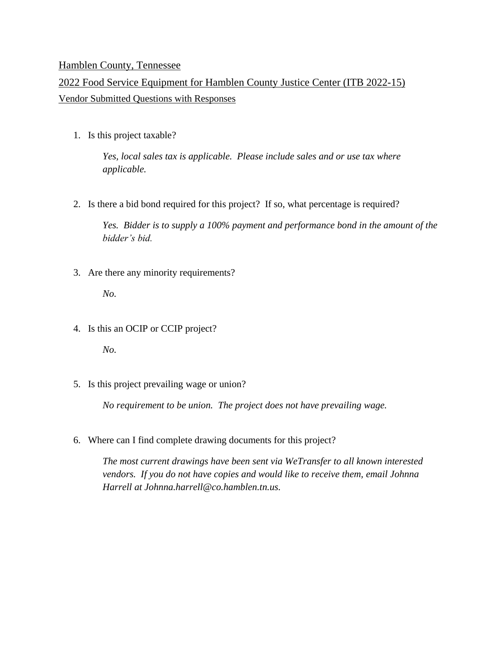## Hamblen County, Tennessee

## 2022 Food Service Equipment for Hamblen County Justice Center (ITB 2022-15) Vendor Submitted Questions with Responses

1. Is this project taxable?

*Yes, local sales tax is applicable. Please include sales and or use tax where applicable.* 

2. Is there a bid bond required for this project? If so, what percentage is required?

*Yes. Bidder is to supply a 100% payment and performance bond in the amount of the bidder's bid.*

3. Are there any minority requirements?

*No.*

4. Is this an OCIP or CCIP project?

*No.*

5. Is this project prevailing wage or union?

*No requirement to be union. The project does not have prevailing wage.*

6. Where can I find complete drawing documents for this project?

*The most current drawings have been sent via WeTransfer to all known interested vendors. If you do not have copies and would like to receive them, email Johnna Harrell at Johnna.harrell@co.hamblen.tn.us.*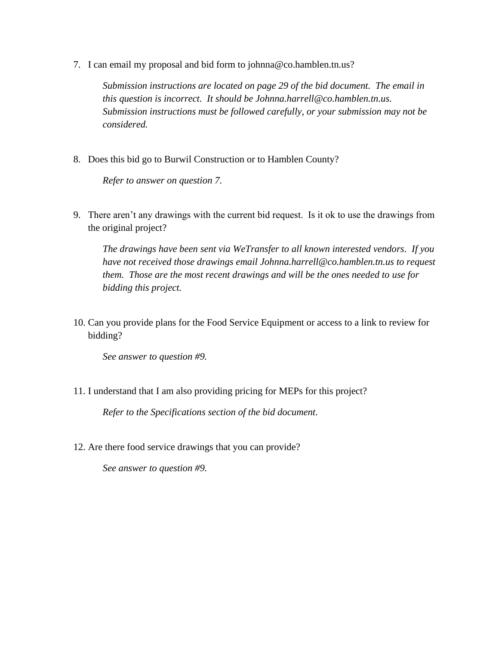7. I can email my proposal and bid form to johnna@co.hamblen.tn.us?

*Submission instructions are located on page 29 of the bid document. The email in this question is incorrect. It should be Johnna.harrell@co.hamblen.tn.us. Submission instructions must be followed carefully, or your submission may not be considered.*

8. Does this bid go to Burwil Construction or to Hamblen County?

*Refer to answer on question 7.*

9. There aren't any drawings with the current bid request. Is it ok to use the drawings from the original project?

*The drawings have been sent via WeTransfer to all known interested vendors. If you have not received those drawings email Johnna.harrell@co.hamblen.tn.us to request them. Those are the most recent drawings and will be the ones needed to use for bidding this project.*

10. Can you provide plans for the Food Service Equipment or access to a link to review for bidding?

*See answer to question #9.*

11. I understand that I am also providing pricing for MEPs for this project?

*Refer to the Specifications section of the bid document.*

12. Are there food service drawings that you can provide?

*See answer to question #9.*